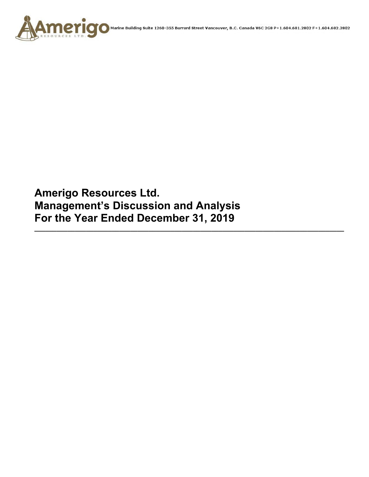

**Amerigo Resources Ltd. Management's Discussion and Analysis For the Year Ended December 31, 2019** 

**\_\_\_\_\_\_\_\_\_\_\_\_\_\_\_\_\_\_\_\_\_\_\_\_\_\_\_\_\_\_\_\_\_\_\_\_\_\_\_\_\_\_\_\_\_\_\_\_\_\_\_\_\_\_\_\_\_\_\_\_\_\_\_\_\_\_\_\_\_\_\_\_\_\_\_\_\_\_\_\_\_\_\_\_**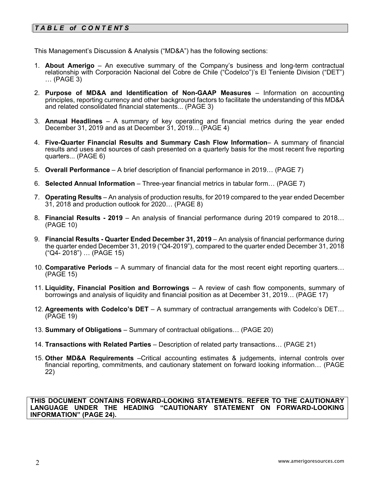# *T A B L E of C O N T E NT S*

This Management's Discussion & Analysis ("MD&A") has the following sections:

- 1. **About Amerigo**  An executive summary of the Company's business and long-term contractual relationship with Corporación Nacional del Cobre de Chile ("Codelco")'s El Teniente Division ("DET") … (PAGE 3)
- 2. **Purpose of MD&A and Identification of Non-GAAP Measures**  Information on accounting principles, reporting currency and other background factors to facilitate the understanding of this MD&A and related consolidated financial statements... (PAGE 3)
- 3. **Annual Headlines** A summary of key operating and financial metrics during the year ended December 31, 2019 and as at December 31, 2019… (PAGE 4)
- 4. **Five-Quarter Financial Results and Summary Cash Flow Information** A summary of financial results and uses and sources of cash presented on a quarterly basis for the most recent five reporting quarters... (PAGE 6)
- 5. **Overall Performance** A brief description of financial performance in 2019… (PAGE 7)
- 6. **Selected Annual Information** Three-year financial metrics in tabular form… (PAGE 7)
- 7. **Operating Results** An analysis of production results, for 2019 compared to the year ended December 31, 2018 and production outlook for 2020… (PAGE 8)
- 8. **Financial Results 2019** An analysis of financial performance during 2019 compared to 2018… (PAGE 10)
- 9. **Financial Results Quarter Ended December 31, 2019** An analysis of financial performance during the quarter ended December 31, 2019 ("Q4-2019"), compared to the quarter ended December 31, 2018 ("Q4- 2018") … (PAGE 15)
- 10. **Comparative Periods** A summary of financial data for the most recent eight reporting quarters… (PAGE 15)
- 11. **Liquidity, Financial Position and Borrowings** A review of cash flow components, summary of borrowings and analysis of liquidity and financial position as at December 31, 2019… (PAGE 17)
- 12. **Agreements with Codelco's DET** A summary of contractual arrangements with Codelco's DET… (PAGE 19)
- 13. **Summary of Obligations**  Summary of contractual obligations… (PAGE 20)
- 14. **Transactions with Related Parties** Description of related party transactions… (PAGE 21)
- 15. **Other MD&A Requirements** –Critical accounting estimates & judgements, internal controls over financial reporting, commitments, and cautionary statement on forward looking information… (PAGE 22)

#### **THIS DOCUMENT CONTAINS FORWARD-LOOKING STATEMENTS. REFER TO THE CAUTIONARY LANGUAGE UNDER THE HEADING "CAUTIONARY STATEMENT ON FORWARD-LOOKING INFORMATION" (PAGE 24).**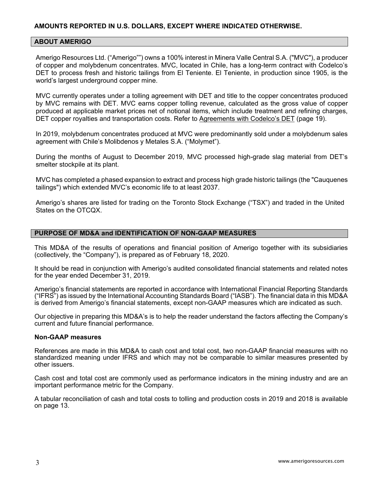## **AMOUNTS REPORTED IN U.S. DOLLARS, EXCEPT WHERE INDICATED OTHERWISE.**

### **ABOUT AMERIGO**

Amerigo Resources Ltd. ("Amerigo"") owns a 100% interest in Minera Valle Central S.A. ("MVC"), a producer of copper and molybdenum concentrates. MVC, located in Chile, has a long-term contract with Codelco's DET to process fresh and historic tailings from El Teniente. El Teniente, in production since 1905, is the world's largest underground copper mine.

MVC currently operates under a tolling agreement with DET and title to the copper concentrates produced by MVC remains with DET. MVC earns copper tolling revenue, calculated as the gross value of copper produced at applicable market prices net of notional items, which include treatment and refining charges, DET copper royalties and transportation costs. Refer to Agreements with Codelco's DET (page 19).

In 2019, molybdenum concentrates produced at MVC were predominantly sold under a molybdenum sales agreement with Chile's Molibdenos y Metales S.A. ("Molymet").

During the months of August to December 2019, MVC processed high-grade slag material from DET's smelter stockpile at its plant.

MVC has completed a phased expansion to extract and process high grade historic tailings (the "Cauquenes tailings") which extended MVC's economic life to at least 2037.

Amerigo's shares are listed for trading on the Toronto Stock Exchange ("TSX") and traded in the United States on the OTCQX.

#### **PURPOSE OF MD&A and IDENTIFICATION OF NON-GAAP MEASURES**

This MD&A of the results of operations and financial position of Amerigo together with its subsidiaries (collectively, the "Company"), is prepared as of February 18, 2020.

It should be read in conjunction with Amerigo's audited consolidated financial statements and related notes for the year ended December 31, 2019.

Amerigo's financial statements are reported in accordance with International Financial Reporting Standards ("IFRS") as issued by the International Accounting Standards Board ("IASB"). The financial data in this MD&A is derived from Amerigo's financial statements, except non-GAAP measures which are indicated as such.

Our objective in preparing this MD&A's is to help the reader understand the factors affecting the Company's current and future financial performance.

#### **Non-GAAP measures**

References are made in this MD&A to cash cost and total cost, two non-GAAP financial measures with no standardized meaning under IFRS and which may not be comparable to similar measures presented by other issuers.

Cash cost and total cost are commonly used as performance indicators in the mining industry and are an important performance metric for the Company.

A tabular reconciliation of cash and total costs to tolling and production costs in 2019 and 2018 is available on page 13.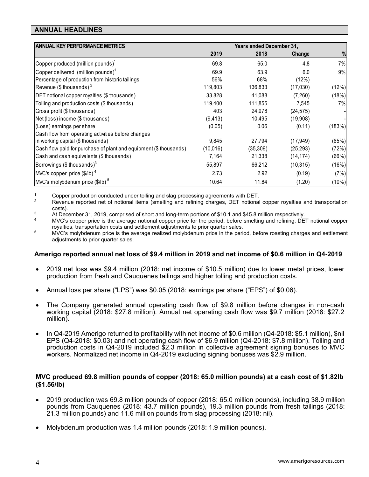### **ANNUAL HEADLINES**

| <b>ANNUAL KEY PERFORMANCE METRICS</b>                             |          | Years ended December 31, |           |        |
|-------------------------------------------------------------------|----------|--------------------------|-----------|--------|
|                                                                   | 2019     | 2018                     | Change    | %      |
| Copper produced (million pounds) <sup>1</sup>                     | 69.8     | 65.0                     | 4.8       | 7%     |
| Copper delivered (million pounds) <sup>1</sup>                    | 69.9     | 63.9                     | 6.0       | $9\%$  |
| Percentage of production from historic tailings                   | 56%      | 68%                      | (12%)     |        |
| Revenue (\$ thousands) <sup>2</sup>                               | 119,803  | 136,833                  | (17,030)  | (12%)  |
| DET notional copper royalties (\$ thousands)                      | 33,828   | 41,088                   | (7,260)   | (18%)  |
| Tolling and production costs (\$ thousands)                       | 119,400  | 111,855                  | 7,545     | 7%     |
| Gross profit (\$ thousands)                                       | 403      | 24,978                   | (24, 575) |        |
| Net (loss) income (\$ thousands)                                  | (9, 413) | 10,495                   | (19,908)  |        |
| (Loss) earnings per share                                         | (0.05)   | 0.06                     | (0.11)    | (183%) |
| Cash flow from operating activities before changes                |          |                          |           |        |
| in working capital (\$ thous ands)                                | 9,845    | 27,794                   | (17, 949) | (65%)  |
| Cash flow paid for purchase of plant and equipment (\$ thousands) | (10,016) | (35, 309)                | (25, 293) | (72%)  |
| Cash and cash equivalents (\$ thousands)                          | 7,164    | 21,338                   | (14, 174) | (66%)  |
| Borrowings (\$ thous ands) <sup>3</sup>                           | 55,897   | 66,212                   | (10, 315) | (16%)  |
| $MVC's copper price ($1/b)^4$                                     | 2.73     | 2.92                     | (0.19)    | (7%)   |
| MVC's molybdenum price (\$/lb) <sup>5</sup>                       | 10.64    | 11.84                    | (1.20)    | (10%)  |

1 Copper production conducted under tolling and slag processing agreements with DET.<br>2 Boyanus reported pet of potional items (amelting and refining aberges, DET potional

Revenue reported net of notional items (smelting and refining charges, DET notional copper royalties and transportation costs).<br>3 At December 31, 2019, comprised of short and long-term portions of \$10.1 and \$45.8 million respectively.<br>4 MVC's copper price is the average notional copper price for the period, before smelting and refining, DET

royalties, transportation costs and settlement adjustments to prior quarter sales.<br><sup>5</sup> MVC's molybdenum price is the average realized molybdenum price in the period, before roasting charges and settlement

adjustments to prior quarter sales.

#### **Amerigo reported annual net loss of \$9.4 million in 2019 and net income of \$0.6 million in Q4-2019**

- 2019 net loss was \$9.4 million (2018: net income of \$10.5 million) due to lower metal prices, lower production from fresh and Cauquenes tailings and higher tolling and production costs.
- Annual loss per share ("LPS") was \$0.05 (2018: earnings per share ("EPS") of \$0.06).
- The Company generated annual operating cash flow of \$9.8 million before changes in non-cash working capital (2018: \$27.8 million). Annual net operating cash flow was \$9.7 million (2018: \$27.2 million).
- In Q4-2019 Amerigo returned to profitability with net income of \$0.6 million (Q4-2018: \$5.1 million), \$nil EPS (Q4-2018: \$0.03) and net operating cash flow of \$6.9 million (Q4-2018: \$7.8 million). Tolling and production costs in Q4-2019 included \$2.3 million in collective agreement signing bonuses to MVC workers. Normalized net income in Q4-2019 excluding signing bonuses was \$2.9 million.

#### **MVC produced 69.8 million pounds of copper (2018: 65.0 million pounds) at a cash cost of \$1.82lb (\$1.56/lb)**

- 2019 production was 69.8 million pounds of copper (2018: 65.0 million pounds), including 38.9 million pounds from Cauquenes (2018: 43.7 million pounds), 19.3 million pounds from fresh tailings (2018: 21.3 million pounds) and 11.6 million pounds from slag processing (2018: nil).
- Molybdenum production was 1.4 million pounds (2018: 1.9 million pounds).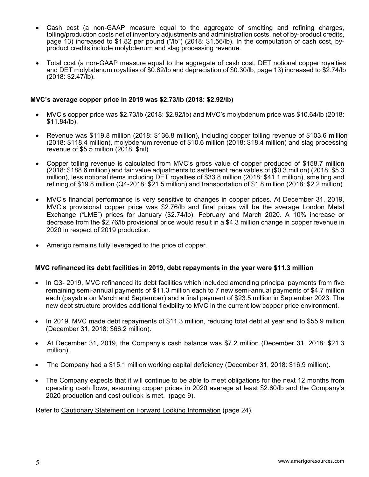- Cash cost (a non-GAAP measure equal to the aggregate of smelting and refining charges, tolling/production costs net of inventory adjustments and administration costs, net of by-product credits, page 13) increased to \$1.82 per pound ("/lb") (2018: \$1.56/lb). In the computation of cash cost, byproduct credits include molybdenum and slag processing revenue.
- Total cost (a non-GAAP measure equal to the aggregate of cash cost, DET notional copper royalties and DET molybdenum royalties of \$0.62/lb and depreciation of \$0.30/lb, page 13) increased to \$2.74/lb (2018: \$2.47/lb).

### **MVC's average copper price in 2019 was \$2.73/lb (2018: \$2.92/lb)**

- MVC's copper price was \$2.73/lb (2018: \$2.92/lb) and MVC's molybdenum price was \$10.64/lb (2018: \$11.84/lb).
- Revenue was \$119.8 million (2018: \$136.8 million), including copper tolling revenue of \$103.6 million (2018: \$118.4 million), molybdenum revenue of \$10.6 million (2018: \$18.4 million) and slag processing revenue of \$5.5 million (2018: \$nil).
- Copper tolling revenue is calculated from MVC's gross value of copper produced of \$158.7 million (2018: \$188.6 million) and fair value adjustments to settlement receivables of (\$0.3 million) (2018: \$5.3 million), less notional items including DET royalties of \$33.8 million (2018: \$41.1 million), smelting and refining of \$19.8 million (Q4-2018: \$21.5 million) and transportation of \$1.8 million (2018: \$2.2 million).
- MVC's financial performance is very sensitive to changes in copper prices. At December 31, 2019, MVC's provisional copper price was \$2.76/lb and final prices will be the average London Metal Exchange ("LME") prices for January (\$2.74/lb), February and March 2020. A 10% increase or decrease from the \$2.76/lb provisional price would result in a \$4.3 million change in copper revenue in 2020 in respect of 2019 production.
- Amerigo remains fully leveraged to the price of copper.

#### **MVC refinanced its debt facilities in 2019, debt repayments in the year were \$11.3 million**

- In Q3- 2019, MVC refinanced its debt facilities which included amending principal payments from five remaining semi-annual payments of \$11.3 million each to 7 new semi-annual payments of \$4.7 million each (payable on March and September) and a final payment of \$23.5 million in September 2023. The new debt structure provides additional flexibility to MVC in the current low copper price environment.
- In 2019, MVC made debt repayments of \$11.3 million, reducing total debt at year end to \$55.9 million (December 31, 2018: \$66.2 million).
- At December 31, 2019, the Company's cash balance was \$7.2 million (December 31, 2018: \$21.3 million).
- The Company had a \$15.1 million working capital deficiency (December 31, 2018: \$16.9 million).
- The Company expects that it will continue to be able to meet obligations for the next 12 months from operating cash flows, assuming copper prices in 2020 average at least \$2.60/lb and the Company's 2020 production and cost outlook is met. (page 9).

Refer to Cautionary Statement on Forward Looking Information (page 24).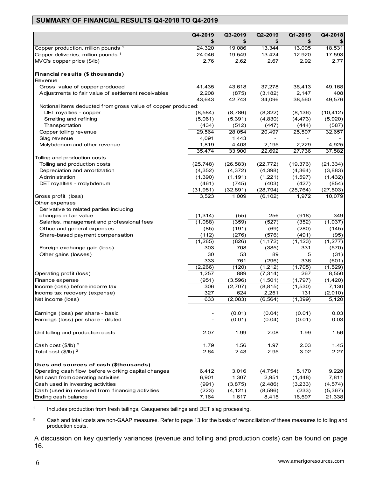# **SUMMARY OF FINANCIAL RESULTS Q4-2018 TO Q4-2019**

|                                                              | Q4-2019<br>\$   | Q3-2019<br>\$ | Q2-2019<br>\$ | Q1-2019<br>\$   | Q4-2018       |
|--------------------------------------------------------------|-----------------|---------------|---------------|-----------------|---------------|
| Copper production, million pounds 1                          | 24.320          | 19.086        | 13.344        | 13.005          | 18.531        |
| Copper deliveries, million pounds 1                          | 24.046          | 19.549        | 13.424        | 12.920          | 17.593        |
| MVC's copper price (\$/lb)                                   | 2.76            | 2.62          | 2.67          | 2.92            | 2.77          |
|                                                              |                 |               |               |                 |               |
| Financial results (\$ thousands)                             |                 |               |               |                 |               |
| Revenue                                                      |                 |               |               |                 |               |
| Gross value of copper produced                               | 41,435          | 43,618        | 37,278        | 36,413          | 49,168        |
| Adjustments to fair value of settlement receivables          | 2,208           | (875)         | (3, 182)      | 2,147           | 408           |
|                                                              | 43,643          | 42,743        | 34,096        | 38,560          | 49,576        |
| Notional items deducted from gross value of copper produced: |                 |               |               |                 |               |
| DET royalties - copper                                       | (8,584)         | (8,786)       | (8,322)       | (8, 136)        | (10, 412)     |
| Smelting and refining                                        | (5,061)         | (5, 391)      | (4,830)       | (4, 473)        | (5,920)       |
| Transportation                                               | (434)           | (512)         | (447)         | (444)           | (587)         |
| Copper tolling revenue                                       | 29,564          | 28,054        | 20,497        | 25,507          | 32,657        |
| Slag revenue                                                 | 4,091           | 1,443         |               |                 |               |
| Molybdenum and other revenue                                 | 1,819           | 4,403         | 2,195         | 2,229           | 4,925         |
|                                                              | 35,474          | 33,900        | 22,692        | 27,736          | 37,582        |
| Tolling and production costs                                 |                 |               |               |                 |               |
| Tolling and production costs                                 | (25, 748)       | (26, 583)     | (22, 772)     | (19, 376)       | (21, 334)     |
| Depreciation and amortization                                | (4, 352)        | (4, 372)      | (4,398)       | (4, 364)        | (3,883)       |
| Administration                                               | (1,390)         | (1, 191)      | (1,221)       | (1, 597)        | (1, 432)      |
| DET royalties - molybdenum                                   | (461)           | (745)         | (403)         | (427)           | (854)         |
|                                                              | (31, 951)       | (32, 891)     | (28, 794)     | (25, 764)       | (27, 503)     |
| Gross profit (loss)                                          | 3,523           | 1,009         | (6, 102)      | 1,972           | 10,079        |
| Other expenses                                               |                 |               |               |                 |               |
| Derivative to related parties including                      |                 |               |               |                 |               |
| changes in fair value                                        | (1, 314)        | (55)          | 256           | (918)           | 349           |
| Salaries, management and professional fees                   | (1,088)         | (359)         | (527)         | (352)           | (1,037)       |
| Office and general expenses                                  | (85)            | (191)         | (69)          | (280)           | (145)         |
| Share-based payment compensation                             | (112)           | (276)         | (576)         | (491)           | (95)          |
|                                                              | (1, 285)<br>303 | (826)<br>708  | (1, 172)      | (1, 123)<br>331 | (1,277)       |
| Foreign exchange gain (loss)                                 | 30              | 53            | (385)<br>89   | 5               | (570)         |
| Other gains (losses)                                         | 333             | 761           | (296)         | 336             | (31)<br>(601) |
|                                                              | (2, 266)        | (120)         | (1, 212)      | (1,705)         | (1,529)       |
| Operating profit (loss)                                      | 1,257           | 889           | (7, 314)      | 267             | 8,550         |
| Finance expense                                              | (951)           | (3,596)       | (1,501)       | (1,797)         | (1,420)       |
| Income (loss) before income tax                              | 306             | (2,707)       | (8, 815)      | (1,530)         | 7,130         |
| Income tax recovery (expense)                                | 327             | 624           | 2,251         | 131             | (2,010)       |
| Net income (loss)                                            | 633             | (2,083)       | (6,564)       | (1,399)         | 5,120         |
|                                                              |                 |               |               |                 |               |
| Earnings (loss) per share - basic                            |                 | (0.01)        | (0.04)        | (0.01)          | 0.03          |
| Earnings (loss) per share - diluted                          |                 | (0.01)        | (0.04)        | (0.01)          | 0.03          |
|                                                              |                 |               |               |                 |               |
| Unit tolling and production costs                            | 2.07            | 1.99          | 2.08          | 1.99            | 1.56          |
|                                                              |                 |               |               |                 |               |
| Cash cost $(\$/IB)^2$                                        | 1.79            | 1.56          | 1.97          | 2.03            | 1.45          |
| Total cost $($/lb)^2$                                        | 2.64            | 2.43          | 2.95          | 3.02            | 2.27          |
| Uses and sources of cash (\$thousands)                       |                 |               |               |                 |               |
| Operating cash flow before w orking capital changes          | 6,412           | 3,016         | (4, 754)      | 5,170           | 9,228         |
| Net cash from operating activities                           | 6,901           | 1,307         | 2,951         | (1, 448)        | 7,811         |
| Cash used in investing activities                            | (991)           | (3,875)       | (2,486)       | (3,233)         | (4, 574)      |
| Cash (used in) received from financing activities            | (223)           | (4, 121)      | (8, 596)      | (233)           | (5, 367)      |
| Ending cash balance                                          | 7,164           | 1,617         | 8,415         | 16,597          | 21,338        |

<sup>1</sup> Includes production from fresh tailings, Cauquenes tailings and DET slag processing.

<sup>2</sup> Cash and total costs are non-GAAP measures. Refer to page 13 for the basis of reconciliation of these measures to tolling and production costs.

A discussion on key quarterly variances (revenue and tolling and production costs) can be found on page 16.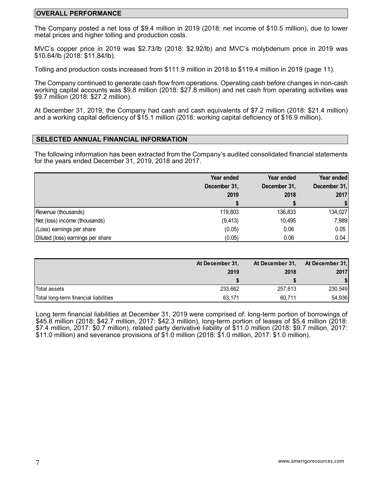## **OVERALL PERFORMANCE**

The Company posted a net loss of \$9.4 million in 2019 (2018: net income of \$10.5 million), due to lower metal prices and higher tolling and production costs.

MVC's copper price in 2019 was \$2.73/lb (2018: \$2.92/lb) and MVC's molybdenum price in 2019 was \$10.64/lb (2018: \$11.84/lb).

Tolling and production costs increased from \$111.9 million in 2018 to \$119.4 million in 2019 (page 11).

The Company continued to generate cash flow from operations. Operating cash before changes in non-cash working capital accounts was \$9.8 million (2018: \$27.8 million) and net cash from operating activities was \$9.7 million (2018: \$27.2 million).

At December 31, 2019, the Company had cash and cash equivalents of \$7.2 million (2018: \$21.4 million) and a working capital deficiency of \$15.1 million (2018: working capital deficiency of \$16.9 million).

#### **SELECTED ANNUAL FINANCIAL INFORMATION**

The following information has been extracted from the Company's audited consolidated financial statements for the years ended December 31, 2019, 2018 and 2017.

|                                   | Year ended   | Year ended   | Year ended   |
|-----------------------------------|--------------|--------------|--------------|
|                                   | December 31, | December 31, | December 31, |
|                                   | 2019         | 2018         | 2017         |
|                                   |              |              |              |
| Revenue (thousands)               | 119,803      | 136,833      | 134,027      |
| Net (loss) income (thousands)     | (9, 413)     | 10,495       | 7,989        |
| (Loss) earnings per share         | (0.05)       | 0.06         | 0.05         |
| Diluted (loss) earnings per share | (0.05)       | 0.06         | 0.04         |

|                                       | At December 31, | At December 31, | At December 31, |
|---------------------------------------|-----------------|-----------------|-----------------|
|                                       | 2019            | 2018            | 2017            |
|                                       |                 |                 |                 |
| lTotal assets                         | 233,662         | 257,613         | 230,549         |
| Total long-term financial liabilities | 63,171          | 60.711          | 54,936          |

Long term financial liabilities at December 31, 2019 were comprised of: long-term portion of borrowings of \$45.8 million (2018: \$42.7 million, 2017: \$42.3 million), long-term portion of leases of \$5.4 million (2018: \$7.4 million, 2017: \$0.7 million), related party derivative liability of \$11.0 million (2018: \$9.7 million, 2017: \$11.0 million) and severance provisions of \$1.0 million (2018: \$1.0 million, 2017: \$1.0 million).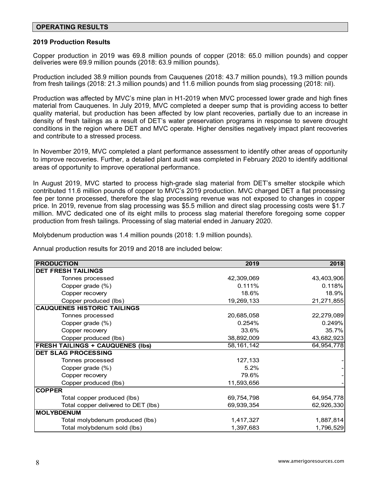### **OPERATING RESULTS**

#### **2019 Production Results**

Copper production in 2019 was 69.8 million pounds of copper (2018: 65.0 million pounds) and copper deliveries were 69.9 million pounds (2018: 63.9 million pounds).

Production included 38.9 million pounds from Cauquenes (2018: 43.7 million pounds), 19.3 million pounds from fresh tailings (2018: 21.3 million pounds) and 11.6 million pounds from slag processing (2018: nil).

Production was affected by MVC's mine plan in H1-2019 when MVC processed lower grade and high fines material from Cauquenes. In July 2019, MVC completed a deeper sump that is providing access to better quality material, but production has been affected by low plant recoveries, partially due to an increase in density of fresh tailings as a result of DET's water preservation programs in response to severe drought conditions in the region where DET and MVC operate. Higher densities negatively impact plant recoveries and contribute to a stressed process.

In November 2019, MVC completed a plant performance assessment to identify other areas of opportunity to improve recoveries. Further, a detailed plant audit was completed in February 2020 to identify additional areas of opportunity to improve operational performance.

In August 2019, MVC started to process high-grade slag material from DET's smelter stockpile which contributed 11.6 million pounds of copper to MVC's 2019 production. MVC charged DET a flat processing fee per tonne processed, therefore the slag processing revenue was not exposed to changes in copper price. In 2019, revenue from slag processing was \$5.5 million and direct slag processing costs were \$1.7 million. MVC dedicated one of its eight mills to process slag material therefore foregoing some copper production from fresh tailings. Processing of slag material ended in January 2020.

Molybdenum production was 1.4 million pounds (2018: 1.9 million pounds).

Annual production results for 2019 and 2018 are included below:

| <b>PRODUCTION</b>                       | 2019         | 2018       |
|-----------------------------------------|--------------|------------|
| <b>DET FRESH TAILINGS</b>               |              |            |
| Tonnes processed                        | 42,309,069   | 43,403,906 |
| Copper grade (%)                        | 0.111%       | 0.118%     |
| Copper recovery                         | 18.6%        | 18.9%      |
| Copper produced (lbs)                   | 19,269,133   | 21,271,855 |
| <b>CAUQUENES HISTORIC TAILINGS</b>      |              |            |
| Tonnes processed                        | 20,685,058   | 22,279,089 |
| Copper grade (%)                        | 0.254%       | 0.249%     |
| Copper recovery                         | 33.6%        | 35.7%      |
| Copper produced (lbs)                   | 38,892,009   | 43,682,923 |
| <b>FRESH TAILINGS + CAUQUENES (Ibs)</b> | 58, 161, 142 | 64,954,778 |
| <b>DET SLAG PROCESSING</b>              |              |            |
| Tonnes processed                        | 127,133      |            |
| Copper grade (%)                        | 5.2%         |            |
| Copper recovery                         | 79.6%        |            |
| Copper produced (lbs)                   | 11,593,656   |            |
| <b>COPPER</b>                           |              |            |
| Total copper produced (lbs)             | 69,754,798   | 64,954,778 |
| Total copper delivered to DET (lbs)     | 69,939,354   | 62,926,330 |
| MOLYBDENUM                              |              |            |
| Total molybdenum produced (lbs)         | 1,417,327    | 1,887,814  |
| Total molybdenum sold (lbs)             | 1,397,683    | 1,796,529  |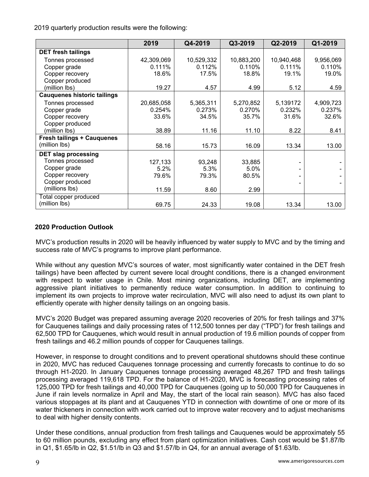2019 quarterly production results were the following:

|                                    | 2019       | Q4-2019    | Q3-2019    | Q2-2019    | Q1-2019   |
|------------------------------------|------------|------------|------------|------------|-----------|
| <b>DET fresh tailings</b>          |            |            |            |            |           |
| Tonnes processed                   | 42,309,069 | 10,529,332 | 10,883,200 | 10,940,468 | 9,956,069 |
| Copper grade                       | 0.111%     | 0.112%     | 0.110%     | 0.111%     | 0.110%    |
| Copper recovery                    | 18.6%      | 17.5%      | 18.8%      | 19.1%      | 19.0%     |
| Copper produced                    |            |            |            |            |           |
| (million lbs)                      | 19.27      | 4.57       | 4.99       | 5.12       | 4.59      |
| <b>Cauquenes historic tailings</b> |            |            |            |            |           |
| Tonnes processed                   | 20,685,058 | 5,365,311  | 5,270,852  | 5,139172   | 4,909,723 |
| Copper grade                       | 0.254%     | 0.273%     | 0.270%     | 0.232%     | 0.237%    |
| Copper recovery                    | 33.6%      | 34.5%      | 35.7%      | 31.6%      | 32.6%     |
| Copper produced                    |            |            |            |            |           |
| (million lbs)                      | 38.89      | 11.16      | 11.10      | 8.22       | 8.41      |
| <b>Fresh tailings + Cauguenes</b>  |            |            |            |            |           |
| (million lbs)                      | 58.16      | 15.73      | 16.09      | 13.34      | 13.00     |
| <b>DET slag processing</b>         |            |            |            |            |           |
| Tonnes processed                   | 127,133    | 93,248     | 33,885     |            |           |
| Copper grade                       | 5.2%       | 5.3%       | 5.0%       |            |           |
| Copper recovery                    | 79.6%      | 79.3%      | 80.5%      |            |           |
| Copper produced                    |            |            |            |            |           |
| (millions lbs)                     | 11.59      | 8.60       | 2.99       |            |           |
| Total copper produced              |            |            |            |            |           |
| (million lbs)                      | 69.75      | 24.33      | 19.08      | 13.34      | 13.00     |

## **2020 Production Outlook**

MVC's production results in 2020 will be heavily influenced by water supply to MVC and by the timing and success rate of MVC's programs to improve plant performance.

While without any question MVC's sources of water, most significantly water contained in the DET fresh tailings) have been affected by current severe local drought conditions, there is a changed environment with respect to water usage in Chile. Most mining organizations, including DET, are implementing aggressive plant initiatives to permanently reduce water consumption. In addition to continuing to implement its own projects to improve water recirculation, MVC will also need to adjust its own plant to efficiently operate with higher density tailings on an ongoing basis.

MVC's 2020 Budget was prepared assuming average 2020 recoveries of 20% for fresh tailings and 37% for Cauquenes tailings and daily processing rates of 112,500 tonnes per day ("TPD") for fresh tailings and 62,500 TPD for Cauquenes, which would result in annual production of 19.6 million pounds of copper from fresh tailings and 46.2 million pounds of copper for Cauquenes tailings.

However, in response to drought conditions and to prevent operational shutdowns should these continue in 2020, MVC has reduced Cauquenes tonnage processing and currently forecasts to continue to do so through H1-2020. In January Cauquenes tonnage processing averaged 48,267 TPD and fresh tailings processing averaged 119,618 TPD. For the balance of H1-2020, MVC is forecasting processing rates of 125,000 TPD for fresh tailings and 40,000 TPD for Cauquenes (going up to 50,000 TPD for Cauquenes in June if rain levels normalize in April and May, the start of the local rain season). MVC has also faced various stoppages at its plant and at Cauquenes YTD in connection with downtime of one or more of its water thickeners in connection with work carried out to improve water recovery and to adjust mechanisms to deal with higher density contents.

Under these conditions, annual production from fresh tailings and Cauquenes would be approximately 55 to 60 million pounds, excluding any effect from plant optimization initiatives. Cash cost would be \$1.87/lb in Q1, \$1.65/lb in Q2, \$1.51/lb in Q3 and \$1.57/lb in Q4, for an annual average of \$1.63/lb.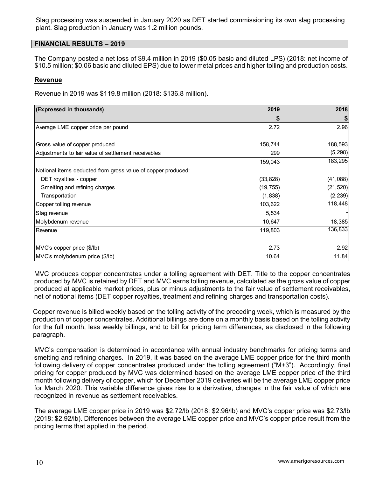Slag processing was suspended in January 2020 as DET started commissioning its own slag processing plant. Slag production in January was 1.2 million pounds.

### **FINANCIAL RESULTS – 2019**

The Company posted a net loss of \$9.4 million in 2019 (\$0.05 basic and diluted LPS) (2018: net income of \$10.5 million; \$0.06 basic and diluted EPS) due to lower metal prices and higher tolling and production costs.

#### **Revenue**

Revenue in 2019 was \$119.8 million (2018: \$136.8 million).

| (Expressed in thousands)                                     | 2019      | 2018      |
|--------------------------------------------------------------|-----------|-----------|
|                                                              | \$        | \$        |
| Average LME copper price per pound                           | 2.72      | 2.96      |
| Gross value of copper produced                               | 158,744   | 188,593   |
| Adjustments to fair value of settlement receivables          | 299       | (5, 298)  |
|                                                              | 159,043   | 183,295   |
| Notional items deducted from gross value of copper produced: |           |           |
| DET royalties - copper                                       | (33, 828) | (41,088)  |
| Smelting and refining charges                                | (19, 755) | (21, 520) |
| Transportation                                               | (1,838)   | (2, 239)  |
| Copper tolling revenue                                       | 103,622   | 118,448   |
| Slag revenue                                                 | 5,534     |           |
| Molybdenum revenue                                           | 10,647    | 18,385    |
| Revenue                                                      | 119,803   | 136,833   |
| MVC's copper price (\$/lb)                                   | 2.73      | 2.92      |
| MVC's molybdenum price (\$/lb)                               | 10.64     | 11.84     |

MVC produces copper concentrates under a tolling agreement with DET. Title to the copper concentrates produced by MVC is retained by DET and MVC earns tolling revenue, calculated as the gross value of copper produced at applicable market prices, plus or minus adjustments to the fair value of settlement receivables, net of notional items (DET copper royalties, treatment and refining charges and transportation costs).

Copper revenue is billed weekly based on the tolling activity of the preceding week, which is measured by the production of copper concentrates. Additional billings are done on a monthly basis based on the tolling activity for the full month, less weekly billings, and to bill for pricing term differences, as disclosed in the following paragraph.

MVC's compensation is determined in accordance with annual industry benchmarks for pricing terms and smelting and refining charges. In 2019, it was based on the average LME copper price for the third month following delivery of copper concentrates produced under the tolling agreement ("M+3"). Accordingly, final pricing for copper produced by MVC was determined based on the average LME copper price of the third month following delivery of copper, which for December 2019 deliveries will be the average LME copper price for March 2020. This variable difference gives rise to a derivative, changes in the fair value of which are recognized in revenue as settlement receivables.

The average LME copper price in 2019 was \$2.72/lb (2018: \$2.96/lb) and MVC's copper price was \$2.73/lb (2018: \$2.92/lb). Differences between the average LME copper price and MVC's copper price result from the pricing terms that applied in the period.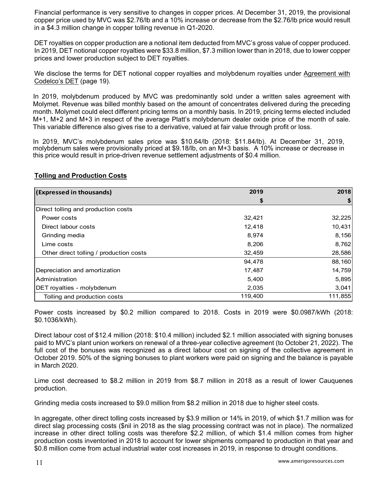Financial performance is very sensitive to changes in copper prices. At December 31, 2019, the provisional copper price used by MVC was \$2.76/lb and a 10% increase or decrease from the \$2.76/lb price would result in a \$4.3 million change in copper tolling revenue in Q1-2020.

DET royalties on copper production are a notional item deducted from MVC's gross value of copper produced. In 2019, DET notional copper royalties were \$33.8 million, \$7.3 million lower than in 2018, due to lower copper prices and lower production subject to DET royalties.

We disclose the terms for DET notional copper royalties and molybdenum royalties under Agreement with Codelco's DET (page 19).

In 2019, molybdenum produced by MVC was predominantly sold under a written sales agreement with Molymet. Revenue was billed monthly based on the amount of concentrates delivered during the preceding month. Molymet could elect different pricing terms on a monthly basis. In 2019, pricing terms elected included M+1, M+2 and M+3 in respect of the average Platt's molybdenum dealer oxide price of the month of sale. This variable difference also gives rise to a derivative, valued at fair value through profit or loss.

In 2019, MVC's molybdenum sales price was \$10.64/lb (2018: \$11.84/lb). At December 31, 2019, molybdenum sales were provisionally priced at \$9.18/lb, on an M+3 basis. A 10% increase or decrease in this price would result in price-driven revenue settlement adjustments of \$0.4 million.

| (Expressed in thousands)                | 2019    | 2018    |
|-----------------------------------------|---------|---------|
|                                         |         |         |
| Direct tolling and production costs     |         |         |
| Power costs                             | 32,421  | 32,225  |
| Direct labour costs                     | 12,418  | 10,431  |
| Grinding media                          | 8,974   | 8,156   |
| Lime costs                              | 8,206   | 8,762   |
| Other direct tolling / production costs | 32,459  | 28,586  |
|                                         | 94.478  | 88,160  |
| Depreciation and amortization           | 17,487  | 14,759  |
| Administration                          | 5,400   | 5,895   |
| DET royalties - molybdenum              | 2,035   | 3,041   |
| Tolling and production costs            | 119,400 | 111,855 |

## **Tolling and Production Costs**

Power costs increased by \$0.2 million compared to 2018. Costs in 2019 were \$0.0987/kWh (2018: \$0.1036/kWh).

Direct labour cost of \$12.4 million (2018: \$10.4 million) included \$2.1 million associated with signing bonuses paid to MVC's plant union workers on renewal of a three-year collective agreement (to October 21, 2022). The full cost of the bonuses was recognized as a direct labour cost on signing of the collective agreement in October 2019. 50% of the signing bonuses to plant workers were paid on signing and the balance is payable in March 2020.

Lime cost decreased to \$8.2 million in 2019 from \$8.7 million in 2018 as a result of lower Cauquenes production.

Grinding media costs increased to \$9.0 million from \$8.2 million in 2018 due to higher steel costs.

In aggregate, other direct tolling costs increased by \$3.9 million or 14% in 2019, of which \$1.7 million was for direct slag processing costs (\$nil in 2018 as the slag processing contract was not in place). The normalized increase in other direct tolling costs was therefore \$2.2 million, of which \$1.4 million comes from higher production costs inventoried in 2018 to account for lower shipments compared to production in that year and \$0.8 million come from actual industrial water cost increases in 2019, in response to drought conditions.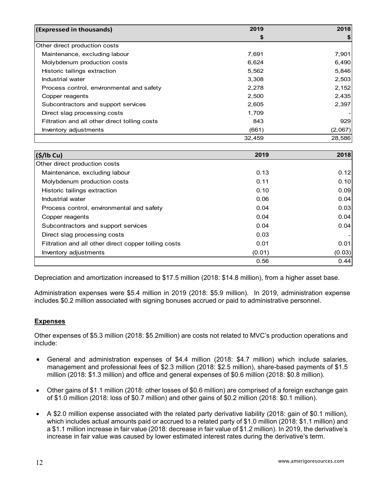| (Expressed in thousands)                      | 2019   | 2018    |
|-----------------------------------------------|--------|---------|
|                                               |        |         |
| Other direct production costs                 |        |         |
| Maintenance, excluding labour                 | 7.691  | 7,901   |
| Molybdenum production costs                   | 6,624  | 6,490   |
| Historic tailings extraction                  | 5,562  | 5,846   |
| Industrial water                              | 3,308  | 2,503   |
| Process control, environmental and safety     | 2,278  | 2,152   |
| Copper reagents                               | 2,500  | 2,435   |
| Subcontractors and support services           | 2,605  | 2,397   |
| Direct slag processing costs                  | 1,709  |         |
| Filtration and all other direct tolling costs | 843    | 929     |
| Inventory adjustments                         | (661)  | (2,067) |
|                                               | 32.459 | 28,586  |

| (S/lb Cu)                                            | 2019   | 2018   |
|------------------------------------------------------|--------|--------|
| Other direct production costs                        |        |        |
| Maintenance, excluding labour                        | 0.13   | 0.12   |
| Molybdenum production costs                          | 0.11   | 0.10   |
| Historic tailings extraction                         | 0.10   | 0.09   |
| Industrial water                                     | 0.06   | 0.04   |
| Process control, environmental and safety            | 0.04   | 0.03   |
| Copper reagents                                      | 0.04   | 0.04   |
| Subcontractors and support services                  | 0.04   | 0.04   |
| Direct slag processing costs                         | 0.03   |        |
| Filtration and all other direct copper tolling costs | 0.01   | 0.01   |
| Inventory adjustments                                | (0.01) | (0.03) |
|                                                      | 0.56   | 0.44   |

Depreciation and amortization increased to \$17.5 million (2018: \$14.8 million), from a higher asset base.

Administration expenses were \$5.4 million in 2019 (2018: \$5.9 million). In 2019, administration expense includes \$0.2 million associated with signing bonuses accrued or paid to administrative personnel.

# **Expenses**

Other expenses of \$5.3 million (2018: \$5.2million) are costs not related to MVC's production operations and include:

- General and administration expenses of \$4.4 million (2018: \$4.7 million) which include salaries, management and professional fees of \$2.3 million (2018: \$2.5 million), share-based payments of \$1.5 million (2018: \$1.3 million) and office and general expenses of \$0.6 million (2018: \$0.8 million).
- Other gains of \$1.1 million (2018: other losses of \$0.6 million) are comprised of a foreign exchange gain of \$1.0 million (2018: loss of \$0.7 million) and other gains of \$0.2 million (2018: \$0.1 million).
- A \$2.0 million expense associated with the related party derivative liability (2018: gain of \$0.1 million), which includes actual amounts paid or accrued to a related party of \$1.0 million (2018: \$1.1 million) and a \$1.1 million increase in fair value (2018: decrease in fair value of \$1.2 million). In 2019, the derivative's increase in fair value was caused by lower estimated interest rates during the derivative's term.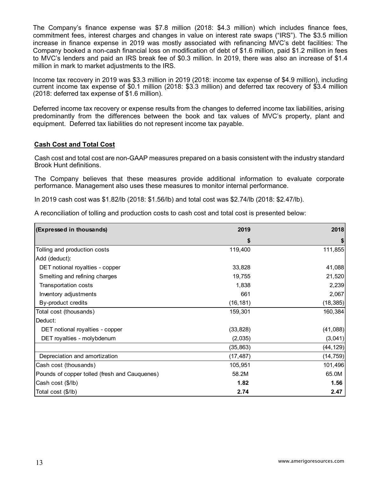The Company's finance expense was \$7.8 million (2018: \$4.3 million) which includes finance fees, commitment fees, interest charges and changes in value on interest rate swaps ("IRS"). The \$3.5 million increase in finance expense in 2019 was mostly associated with refinancing MVC's debt facilities: The Company booked a non-cash financial loss on modification of debt of \$1.6 million, paid \$1.2 million in fees to MVC's lenders and paid an IRS break fee of \$0.3 million. In 2019, there was also an increase of \$1.4 million in mark to market adjustments to the IRS.

Income tax recovery in 2019 was \$3.3 million in 2019 (2018: income tax expense of \$4.9 million), including current income tax expense of \$0.1 million (2018: \$3.3 million) and deferred tax recovery of \$3.4 million (2018: deferred tax expense of \$1.6 million).

Deferred income tax recovery or expense results from the changes to deferred income tax liabilities, arising predominantly from the differences between the book and tax values of MVC's property, plant and equipment. Deferred tax liabilities do not represent income tax payable.

### **Cash Cost and Total Cost**

Cash cost and total cost are non-GAAP measures prepared on a basis consistent with the industry standard Brook Hunt definitions.

The Company believes that these measures provide additional information to evaluate corporate performance. Management also uses these measures to monitor internal performance.

In 2019 cash cost was \$1.82/lb (2018: \$1.56/lb) and total cost was \$2.74/lb (2018: \$2.47/lb).

A reconciliation of tolling and production costs to cash cost and total cost is presented below:

| (Expressed in thousands)                      | 2019      | 2018      |
|-----------------------------------------------|-----------|-----------|
|                                               | S         | \$        |
| Tolling and production costs                  | 119,400   | 111,855   |
| Add (deduct):                                 |           |           |
| DET notional royalties - copper               | 33,828    | 41,088    |
| Smelting and refining charges                 | 19,755    | 21,520    |
| Transportation costs                          | 1,838     | 2,239     |
| Inventory adjustments                         | 661       | 2,067     |
| By-product credits                            | (16, 181) | (18, 385) |
| Total cost (thousands)                        | 159,301   | 160,384   |
| Deduct:                                       |           |           |
| DET notional royalties - copper               | (33, 828) | (41,088)  |
| DET royalties - molybdenum                    | (2,035)   | (3,041)   |
|                                               | (35, 863) | (44, 129) |
| Depreciation and amortization                 | (17, 487) | (14, 759) |
| Cash cost (thousands)                         | 105,951   | 101,496   |
| Pounds of copper tolled (fresh and Cauquenes) | 58.2M     | 65.0M     |
| Cash cost (\$/lb)                             | 1.82      | 1.56      |
| Total cost (\$/lb)                            | 2.74      | 2.47      |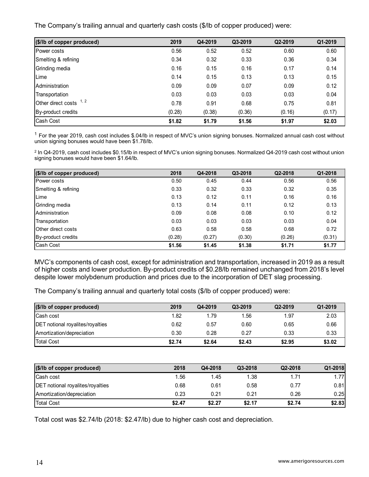The Company's trailing annual and quarterly cash costs (\$/lb of copper produced) were:

| (\$/lb of copper produced) | 2019   | Q4-2019 | Q3-2019 | Q2-2019 | Q1-2019 |
|----------------------------|--------|---------|---------|---------|---------|
| <b>Power costs</b>         | 0.56   | 0.52    | 0.52    | 0.60    | 0.60    |
| Smelting & refining        | 0.34   | 0.32    | 0.33    | 0.36    | 0.34    |
| Grinding media             | 0.16   | 0.15    | 0.16    | 0.17    | 0.14    |
| Lime                       | 0.14   | 0.15    | 0.13    | 0.13    | 0.15    |
| Administration             | 0.09   | 0.09    | 0.07    | 0.09    | 0.12    |
| Transportation             | 0.03   | 0.03    | 0.03    | 0.03    | 0.04    |
| Other direct costs $1, 2$  | 0.78   | 0.91    | 0.68    | 0.75    | 0.81    |
| By-product credits         | (0.28) | (0.38)  | (0.36)  | (0.16)  | (0.17)  |
| Cash Cost                  | \$1.82 | \$1.79  | \$1.56  | \$1.97  | \$2.03  |

<sup>1</sup> For the year 2019, cash cost includes \$.04/lb in respect of MVC's union signing bonuses. Normalized annual cash cost without union signing bonuses would have been \$1.78/lb.

2 In Q4-2019, cash cost includes \$0.15/lb in respect of MVC's union signing bonuses. Normalized Q4-2019 cash cost without union signing bonuses would have been \$1.64/lb.

| (\$/lb of copper produced) | 2018   | Q4-2018 | Q3-2018 | Q2-2018 | Q1-2018 |
|----------------------------|--------|---------|---------|---------|---------|
| <b>Power costs</b>         | 0.50   | 0.45    | 0.44    | 0.56    | 0.56    |
| Smelting & refining        | 0.33   | 0.32    | 0.33    | 0.32    | 0.35    |
| Lime                       | 0.13   | 0.12    | 0.11    | 0.16    | 0.16    |
| Grinding media             | 0.13   | 0.14    | 0.11    | 0.12    | 0.13    |
| Administration             | 0.09   | 0.08    | 0.08    | 0.10    | 0.12    |
| Transportation             | 0.03   | 0.03    | 0.03    | 0.03    | 0.04    |
| <b>Other direct costs</b>  | 0.63   | 0.58    | 0.58    | 0.68    | 0.72    |
| By-product credits         | (0.28) | (0.27)  | (0.30)  | (0.26)  | (0.31)  |
| Cash Cost                  | \$1.56 | \$1.45  | \$1.38  | \$1.71  | \$1.77  |

MVC's components of cash cost, except for administration and transportation, increased in 2019 as a result of higher costs and lower production. By-product credits of \$0.28/lb remained unchanged from 2018's level despite lower molybdenum production and prices due to the incorporation of DET slag processing.

The Company's trailing annual and quarterly total costs (\$/lb of copper produced) were:

| (\$/lb of copper produced)              | 2019   | Q4-2019 | Q3-2019 | Q2-2019 | Q1-2019 |
|-----------------------------------------|--------|---------|---------|---------|---------|
| Cash cost                               | 1.82   | 1.79    | 1.56    | 1.97    | 2.03    |
| <b>DET</b> notional royalites/royalties | 0.62   | 0.57    | 0.60    | 0.65    | 0.66    |
| Amortization/depreciation               | 0.30   | 0.28    | 0.27    | 0.33    | 0.33    |
| <b>Total Cost</b>                       | \$2.74 | \$2.64  | \$2.43  | \$2.95  | \$3.02  |

| (\$/lb of copper produced)              | 2018   | Q4-2018 | Q3-2018 | Q2-2018 | Q1-2018 |
|-----------------------------------------|--------|---------|---------|---------|---------|
| <b>Cash cost</b>                        | 1.56   | 1.45    | 1.38    | 1.71    | 1.77    |
| <b>DET</b> notional royalites/royalties | 0.68   | 0.61    | 0.58    | 0.77    | 0.81    |
| Amortization/depreciation               | 0.23   | 0.21    | 0.21    | 0.26    | 0.25    |
| <b>Total Cost</b>                       | \$2.47 | \$2.27  | \$2.17  | \$2.74  | \$2.83  |

Total cost was \$2.74/lb (2018: \$2.47/lb) due to higher cash cost and depreciation.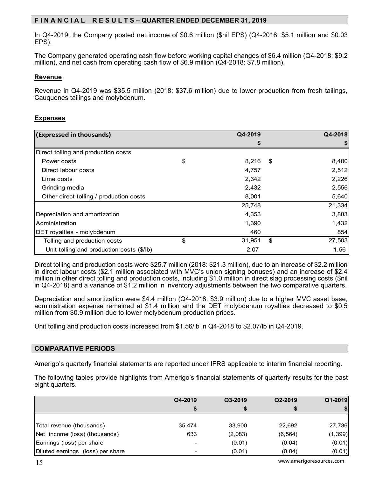## **F I N A N C I A L R E S U L T S – QUARTER ENDED DECEMBER 31, 2019**

In Q4-2019, the Company posted net income of \$0.6 million (\$nil EPS) (Q4-2018: \$5.1 million and \$0.03 EPS).

The Company generated operating cash flow before working capital changes of \$6.4 million (Q4-2018: \$9.2 million), and net cash from operating cash flow of \$6.9 million (Q4-2018: \$7.8 million).

### **Revenue**

Revenue in Q4-2019 was \$35.5 million (2018: \$37.6 million) due to lower production from fresh tailings, Cauquenes tailings and molybdenum.

### **Expenses**

| (Expressed in thousands)                  | Q4-2019      |      | Q4-2018 |
|-------------------------------------------|--------------|------|---------|
|                                           | \$           |      | \$      |
| Direct tolling and production costs       |              |      |         |
| Power costs                               | \$<br>8,216  | - \$ | 8,400   |
| Direct labour costs                       | 4,757        |      | 2,512   |
| Lime costs                                | 2,342        |      | 2,226   |
| Grinding media                            | 2,432        |      | 2,556   |
| Other direct tolling / production costs   | 8,001        |      | 5,640   |
|                                           | 25,748       |      | 21,334  |
| Depreciation and amortization             | 4,353        |      | 3,883   |
| Administration                            | 1,390        |      | 1,432   |
| <b>DET</b> royalties - molybdenum         | 460          |      | 854     |
| Tolling and production costs              | \$<br>31,951 | \$   | 27,503  |
| Unit tolling and production costs (\$/lb) | 2.07         |      | 1.56    |

Direct tolling and production costs were \$25.7 million (2018: \$21.3 million), due to an increase of \$2.2 million in direct labour costs (\$2.1 million associated with MVC's union signing bonuses) and an increase of \$2.4 million in other direct tolling and production costs, including \$1.0 million in direct slag processing costs (\$nil in Q4-2018) and a variance of \$1.2 million in inventory adjustments between the two comparative quarters.

Depreciation and amortization were \$4.4 million (Q4-2018: \$3.9 million) due to a higher MVC asset base, administration expense remained at \$1.4 million and the DET molybdenum royalties decreased to \$0.5 million from \$0.9 million due to lower molybdenum production prices.

Unit tolling and production costs increased from \$1.56/lb in Q4-2018 to \$2.07/lb in Q4-2019.

## **COMPARATIVE PERIODS**

Amerigo's quarterly financial statements are reported under IFRS applicable to interim financial reporting.

The following tables provide highlights from Amerigo's financial statements of quarterly results for the past eight quarters.

|                                   | Q4-2019                  | Q3-2019 | Q2-2019  | Q1-2019  |
|-----------------------------------|--------------------------|---------|----------|----------|
|                                   |                          |         | \$       |          |
|                                   |                          |         |          |          |
| Total revenue (thousands)         | 35.474                   | 33,900  | 22,692   | 27,736   |
| Net income (loss) (thousands)     | 633                      | (2,083) | (6, 564) | (1, 399) |
| Earnings (loss) per share         | $\overline{\phantom{a}}$ | (0.01)  | (0.04)   | (0.01)   |
| Diluted earnings (loss) per share | $\overline{\phantom{0}}$ | (0.01)  | (0.04)   | (0.01)   |

www.amerigoresources.com 15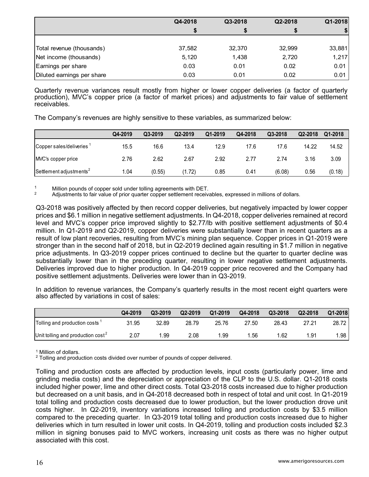|                            | Q4-2018 | Q3-2018 | Q2-2018 | Q1-2018 |
|----------------------------|---------|---------|---------|---------|
|                            |         | S       | \$      | \$      |
|                            |         |         |         |         |
| Total revenue (thousands)  | 37,582  | 32,370  | 32,999  | 33,881  |
| Net income (thousands)     | 5,120   | 1,438   | 2,720   | 1,217   |
| Earnings per share         | 0.03    | 0.01    | 0.02    | 0.01    |
| Diluted earnings per share | 0.03    | 0.01    | 0.02    | 0.01    |

Quarterly revenue variances result mostly from higher or lower copper deliveries (a factor of quarterly production), MVC's copper price (a factor of market prices) and adjustments to fair value of settlement receivables.

The Company's revenues are highly sensitive to these variables, as summarized below:

|                                     | Q4-2019 | Q3-2019 | Q2-2019 | Q1-2019 | Q4-2018 | Q3-2018 | Q2-2018 | Q1-2018 |
|-------------------------------------|---------|---------|---------|---------|---------|---------|---------|---------|
| Copper sales/deliveries             | 15.5    | 16.6    | 13.4    | 12.9    | 17.6    | 17.6    | 14.22   | 14.52   |
| MVC's copper price                  | 2.76    | 2.62    | 2.67    | 2.92    | 2.77    | 2.74    | 3.16    | 3.09    |
| Settlement adjustments <sup>2</sup> | 1.04    | (0.55)  | (1.72)  | 0.85    | 0.41    | (6.08)  | 0.56    | (0.18)  |

1 Million pounds of copper sold under tolling agreements with DET.<br><sup>2</sup> Adjustments to fair value of prior quarter copper settlement receivables, expressed in millions of dollars.

Q3-2018 was positively affected by then record copper deliveries, but negatively impacted by lower copper prices and \$6.1 million in negative settlement adjustments. In Q4-2018, copper deliveries remained at record level and MVC's copper price improved slightly to \$2.77/lb with positive settlement adjustments of \$0.4 million. In Q1-2019 and Q2-2019, copper deliveries were substantially lower than in recent quarters as a result of low plant recoveries, resulting from MVC's mining plan sequence. Copper prices in Q1-2019 were stronger than in the second half of 2018, but in Q2-2019 declined again resulting in \$1.7 million in negative price adjustments. In Q3-2019 copper prices continued to decline but the quarter to quarter decline was substantially lower than in the preceding quarter, resulting in lower negative settlement adjustments. Deliveries improved due to higher production. In Q4-2019 copper price recovered and the Company had positive settlement adjustments. Deliveries were lower than in Q3-2019.

In addition to revenue variances, the Company's quarterly results in the most recent eight quarters were also affected by variations in cost of sales:

|                                           | Q4-2019 | Q3-2019 | Q2-2019 | Q1-2019 | Q4-2018 | Q3-2018 | Q2-2018 | Q1-2018           |
|-------------------------------------------|---------|---------|---------|---------|---------|---------|---------|-------------------|
| Tolling and production costs <sup>1</sup> | 31.95   | 32.89   | 28.79   | 25.76   | 27.50   | 28.43   | 27.21   | 28.72             |
| Unit tolling and production $cost^2$      | 2.07    | .99     | 2.08    | .99     | 1.56    | .62     | 1.91    | 1.98 <sub>1</sub> |

1 Million of dollars.

<sup>2</sup> Tolling and production costs divided over number of pounds of copper delivered.

Tolling and production costs are affected by production levels, input costs (particularly power, lime and grinding media costs) and the depreciation or appreciation of the CLP to the U.S. dollar. Q1-2018 costs included higher power, lime and other direct costs. Total Q3-2018 costs increased due to higher production but decreased on a unit basis, and in Q4-2018 decreased both in respect of total and unit cost. In Q1-2019 total tolling and production costs decreased due to lower production, but the lower production drove unit costs higher. In Q2-2019, inventory variations increased tolling and production costs by \$3.5 million compared to the preceding quarter. In Q3-2019 total tolling and production costs increased due to higher deliveries which in turn resulted in lower unit costs. In Q4-2019, tolling and production costs included \$2.3 million in signing bonuses paid to MVC workers, increasing unit costs as there was no higher output associated with this cost.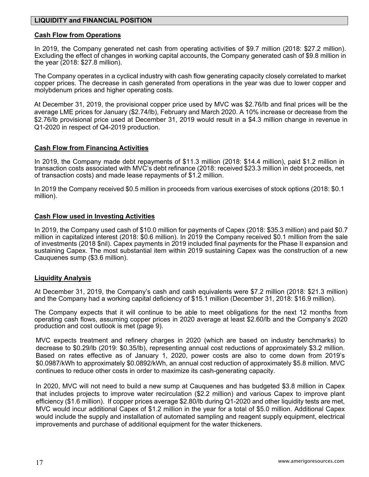### **LIQUIDITY and FINANCIAL POSITION**

#### **Cash Flow from Operations**

In 2019, the Company generated net cash from operating activities of \$9.7 million (2018: \$27.2 million). Excluding the effect of changes in working capital accounts, the Company generated cash of \$9.8 million in the year (2018: \$27.8 million).

The Company operates in a cyclical industry with cash flow generating capacity closely correlated to market copper prices. The decrease in cash generated from operations in the year was due to lower copper and molybdenum prices and higher operating costs.

At December 31, 2019, the provisional copper price used by MVC was \$2.76/lb and final prices will be the average LME prices for January (\$2.74/lb), February and March 2020. A 10% increase or decrease from the \$2.76/lb provisional price used at December 31, 2019 would result in a \$4.3 million change in revenue in Q1-2020 in respect of Q4-2019 production.

### **Cash Flow from Financing Activities**

In 2019, the Company made debt repayments of \$11.3 million (2018: \$14.4 million), paid \$1.2 million in transaction costs associated with MVC's debt refinance (2018: received \$23.3 million in debt proceeds, net of transaction costs) and made lease repayments of \$1.2 million.

In 2019 the Company received \$0.5 million in proceeds from various exercises of stock options (2018: \$0.1 million).

### **Cash Flow used in Investing Activities**

In 2019, the Company used cash of \$10.0 million for payments of Capex (2018: \$35.3 million) and paid \$0.7 million in capitalized interest (2018: \$0.6 million). In 2019 the Company received \$0.1 million from the sale of investments (2018 \$nil). Capex payments in 2019 included final payments for the Phase II expansion and sustaining Capex. The most substantial item within 2019 sustaining Capex was the construction of a new Cauquenes sump (\$3.6 million).

#### **Liquidity Analysis**

At December 31, 2019, the Company's cash and cash equivalents were \$7.2 million (2018: \$21.3 million) and the Company had a working capital deficiency of \$15.1 million (December 31, 2018: \$16.9 million).

The Company expects that it will continue to be able to meet obligations for the next 12 months from operating cash flows, assuming copper prices in 2020 average at least \$2.60/lb and the Company's 2020 production and cost outlook is met (page 9).

MVC expects treatment and refinery charges in 2020 (which are based on industry benchmarks) to decrease to \$0.29/lb (2019: \$0.35/lb), representing annual cost reductions of approximately \$3.2 million. Based on rates effective as of January 1, 2020, power costs are also to come down from 2019's \$0.0987/kWh to approximately \$0.0892/kWh, an annual cost reduction of approximately \$5.8 million. MVC continues to reduce other costs in order to maximize its cash-generating capacity.

In 2020, MVC will not need to build a new sump at Cauquenes and has budgeted \$3.8 million in Capex that includes projects to improve water recirculation (\$2.2 million) and various Capex to improve plant efficiency (\$1.6 million). If copper prices average \$2.80/lb during Q1-2020 and other liquidity tests are met, MVC would incur additional Capex of \$1.2 million in the year for a total of \$5.0 million. Additional Capex would include the supply and installation of automated sampling and reagent supply equipment, electrical improvements and purchase of additional equipment for the water thickeners.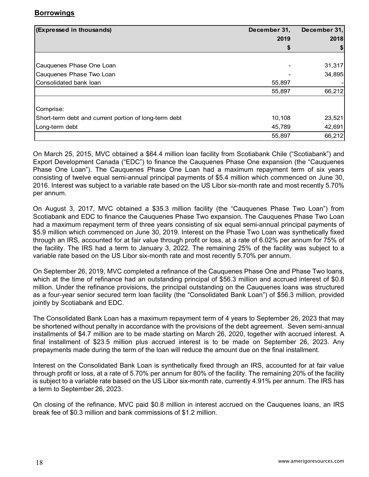# **Borrowings**

| (Expressed in thousands)                              | December 31, | December 31, |
|-------------------------------------------------------|--------------|--------------|
|                                                       | 2019         | 2018         |
|                                                       |              |              |
|                                                       |              |              |
| Cauquenes Phase One Loan                              |              | 31,317       |
| Cauquenes Phase Two Loan                              |              | 34,895       |
| Consolidated bank loan                                | 55,897       |              |
|                                                       | 55,897       | 66,212       |
| Comprise:                                             |              |              |
| Short-term debt and current portion of long-term debt | 10,108       | 23,521       |
| Long-term debt                                        | 45,789       | 42,691       |
|                                                       | 55,897       | 66,212       |

On March 25, 2015, MVC obtained a \$64.4 million loan facility from Scotiabank Chile ("Scotiabank") and Export Development Canada ("EDC") to finance the Cauquenes Phase One expansion (the "Cauquenes Phase One Loan"). The Cauquenes Phase One Loan had a maximum repayment term of six years consisting of twelve equal semi-annual principal payments of \$5.4 million which commenced on June 30, 2016. Interest was subject to a variable rate based on the US Libor six-month rate and most recently 5.70% per annum.

On August 3, 2017, MVC obtained a \$35.3 million facility (the "Cauquenes Phase Two Loan") from Scotiabank and EDC to finance the Cauquenes Phase Two expansion. The Cauquenes Phase Two Loan had a maximum repayment term of three years consisting of six equal semi-annual principal payments of \$5.9 million which commenced on June 30, 2019. Interest on the Phase Two Loan was synthetically fixed through an IRS, accounted for at fair value through profit or loss, at a rate of 6.02% per annum for 75% of the facility. The IRS had a term to January 3, 2022. The remaining 25% of the facility was subject to a variable rate based on the US Libor six-month rate and most recently 5.70% per annum.

On September 26, 2019, MVC completed a refinance of the Cauquenes Phase One and Phase Two loans, which at the time of refinance had an outstanding principal of \$56.3 million and accrued interest of \$0.8 million. Under the refinance provisions, the principal outstanding on the Cauquenes loans was structured as a four-year senior secured term loan facility (the "Consolidated Bank Loan") of \$56.3 million, provided jointly by Scotiabank and EDC.

The Consolidated Bank Loan has a maximum repayment term of 4 years to September 26, 2023 that may be shortened without penalty in accordance with the provisions of the debt agreement. Seven semi-annual installments of \$4.7 million are to be made starting on March 26, 2020, together with accrued interest. A final installment of \$23.5 million plus accrued interest is to be made on September 26, 2023. Any prepayments made during the term of the loan will reduce the amount due on the final installment.

Interest on the Consolidated Bank Loan is synthetically fixed through an IRS, accounted for at fair value through profit or loss, at a rate of 5.70% per annum for 80% of the facility. The remaining 20% of the facility is subject to a variable rate based on the US Libor six-month rate, currently 4.91% per annum. The IRS has a term to September 26, 2023.

On closing of the refinance, MVC paid \$0.8 million in interest accrued on the Cauquenes loans, an IRS break fee of \$0.3 million and bank commissions of \$1.2 million.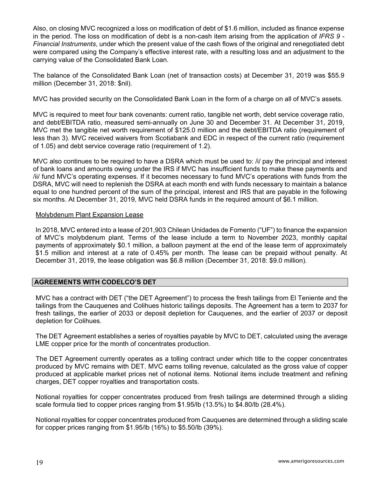Also, on closing MVC recognized a loss on modification of debt of \$1.6 million, included as finance expense in the period. The loss on modification of debt is a non-cash item arising from the application of *IFRS 9 - Financial Instruments*, under which the present value of the cash flows of the original and renegotiated debt were compared using the Company's effective interest rate, with a resulting loss and an adjustment to the carrying value of the Consolidated Bank Loan.

The balance of the Consolidated Bank Loan (net of transaction costs) at December 31, 2019 was \$55.9 million (December 31, 2018: \$nil).

MVC has provided security on the Consolidated Bank Loan in the form of a charge on all of MVC's assets.

MVC is required to meet four bank covenants: current ratio, tangible net worth, debt service coverage ratio, and debt/EBITDA ratio, measured semi-annually on June 30 and December 31. At December 31, 2019, MVC met the tangible net worth requirement of \$125.0 million and the debt/EBITDA ratio (requirement of less than 3). MVC received waivers from Scotiabank and EDC in respect of the current ratio (requirement of 1.05) and debt service coverage ratio (requirement of 1.2).

MVC also continues to be required to have a DSRA which must be used to: /i/ pay the principal and interest of bank loans and amounts owing under the IRS if MVC has insufficient funds to make these payments and /ii/ fund MVC's operating expenses. If it becomes necessary to fund MVC's operations with funds from the DSRA, MVC will need to replenish the DSRA at each month end with funds necessary to maintain a balance equal to one hundred percent of the sum of the principal, interest and IRS that are payable in the following six months. At December 31, 2019, MVC held DSRA funds in the required amount of \$6.1 million.

#### Molybdenum Plant Expansion Lease

In 2018, MVC entered into a lease of 201,903 Chilean Unidades de Fomento ("UF") to finance the expansion of MVC's molybdenum plant. Terms of the lease include a term to November 2023, monthly capital payments of approximately \$0.1 million, a balloon payment at the end of the lease term of approximately \$1.5 million and interest at a rate of 0.45% per month. The lease can be prepaid without penalty. At December 31, 2019, the lease obligation was \$6.8 million (December 31, 2018: \$9.0 million).

## **AGREEMENTS WITH CODELCO'S DET**

MVC has a contract with DET ("the DET Agreement") to process the fresh tailings from El Teniente and the tailings from the Cauquenes and Colihues historic tailings deposits. The Agreement has a term to 2037 for fresh tailings, the earlier of 2033 or deposit depletion for Cauquenes, and the earlier of 2037 or deposit depletion for Colihues.

The DET Agreement establishes a series of royalties payable by MVC to DET, calculated using the average LME copper price for the month of concentrates production.

The DET Agreement currently operates as a tolling contract under which title to the copper concentrates produced by MVC remains with DET. MVC earns tolling revenue, calculated as the gross value of copper produced at applicable market prices net of notional items. Notional items include treatment and refining charges, DET copper royalties and transportation costs.

Notional royalties for copper concentrates produced from fresh tailings are determined through a sliding scale formula tied to copper prices ranging from \$1.95/lb (13.5%) to \$4.80/lb (28.4%).

Notional royalties for copper concentrates produced from Cauquenes are determined through a sliding scale for copper prices ranging from \$1.95/lb (16%) to \$5.50/lb (39%).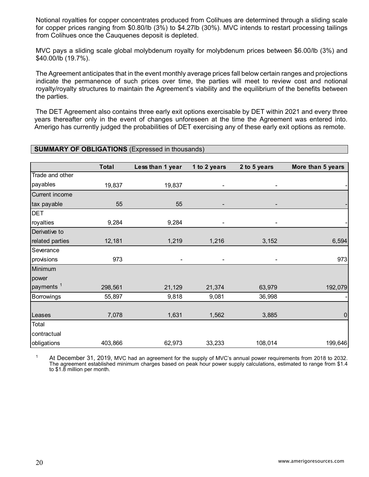Notional royalties for copper concentrates produced from Colihues are determined through a sliding scale for copper prices ranging from \$0.80/lb (3%) to \$4.27lb (30%). MVC intends to restart processing tailings from Colihues once the Cauquenes deposit is depleted.

MVC pays a sliding scale global molybdenum royalty for molybdenum prices between \$6.00/lb (3%) and \$40.00/lb (19.7%).

The Agreement anticipates that in the event monthly average prices fall below certain ranges and projections indicate the permanence of such prices over time, the parties will meet to review cost and notional royalty/royalty structures to maintain the Agreement's viability and the equilibrium of the benefits between the parties.

The DET Agreement also contains three early exit options exercisable by DET within 2021 and every three years thereafter only in the event of changes unforeseen at the time the Agreement was entered into. Amerigo has currently judged the probabilities of DET exercising any of these early exit options as remote.

| <b>SUMMARY OF OBLIGATIONS (Expressed in thousands)</b> |  |
|--------------------------------------------------------|--|
|                                                        |  |

|                       | <b>Total</b> | Less than 1 year | 1 to 2 years | 2 to 5 years             | More than 5 years |
|-----------------------|--------------|------------------|--------------|--------------------------|-------------------|
| Trade and other       |              |                  |              |                          |                   |
| payables              | 19,837       | 19,837           |              |                          |                   |
| <b>Current</b> income |              |                  |              |                          |                   |
| tax payable           | 55           | 55               |              |                          |                   |
| <b>DET</b>            |              |                  |              |                          |                   |
| royalties             | 9,284        | 9,284            | -            | $\blacksquare$           |                   |
| Derivative to         |              |                  |              |                          |                   |
| related parties       | 12,181       | 1,219            | 1,216        | 3,152                    | 6,594             |
| Severance             |              |                  |              |                          |                   |
| provisions            | 973          | ۰                | -            | $\overline{\phantom{a}}$ | 973               |
| Minimum               |              |                  |              |                          |                   |
| power                 |              |                  |              |                          |                   |
| payments <sup>1</sup> | 298,561      | 21,129           | 21,374       | 63,979                   | 192,079           |
| Borrowings            | 55,897       | 9,818            | 9,081        | 36,998                   |                   |
|                       |              |                  |              |                          |                   |
| Leases                | 7,078        | 1,631            | 1,562        | 3,885                    | $\mathbf 0$       |
| Total                 |              |                  |              |                          |                   |
| contractual           |              |                  |              |                          |                   |
| obligations           | 403,866      | 62,973           | 33,233       | 108,014                  | 199,646           |

<sup>1</sup> At December 31, 2019, MVC had an agreement for the supply of MVC's annual power requirements from 2018 to 2032. The agreement established minimum charges based on peak hour power supply calculations, estimated to range from \$1.4 to \$1.8 million per month.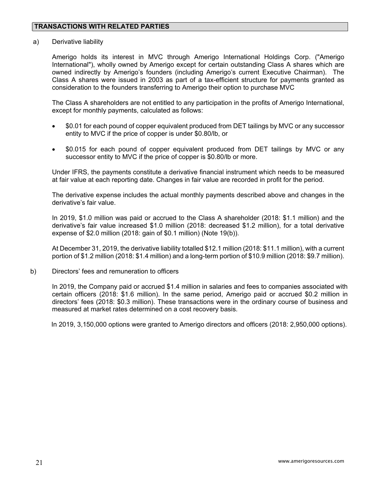## **TRANSACTIONS WITH RELATED PARTIES**

a) Derivative liability

Amerigo holds its interest in MVC through Amerigo International Holdings Corp. ("Amerigo International"), wholly owned by Amerigo except for certain outstanding Class A shares which are owned indirectly by Amerigo's founders (including Amerigo's current Executive Chairman). The Class A shares were issued in 2003 as part of a tax-efficient structure for payments granted as consideration to the founders transferring to Amerigo their option to purchase MVC

The Class A shareholders are not entitled to any participation in the profits of Amerigo International, except for monthly payments, calculated as follows:

- \$0.01 for each pound of copper equivalent produced from DET tailings by MVC or any successor entity to MVC if the price of copper is under \$0.80/lb, or
- \$0.015 for each pound of copper equivalent produced from DET tailings by MVC or any successor entity to MVC if the price of copper is \$0.80/lb or more.

Under IFRS, the payments constitute a derivative financial instrument which needs to be measured at fair value at each reporting date. Changes in fair value are recorded in profit for the period.

The derivative expense includes the actual monthly payments described above and changes in the derivative's fair value.

In 2019, \$1.0 million was paid or accrued to the Class A shareholder (2018: \$1.1 million) and the derivative's fair value increased \$1.0 million (2018: decreased \$1.2 million), for a total derivative expense of \$2.0 million (2018: gain of \$0.1 million) (Note 19(b)).

At December 31, 2019, the derivative liability totalled \$12.1 million (2018: \$11.1 million), with a current portion of \$1.2 million (2018: \$1.4 million) and a long-term portion of \$10.9 million (2018: \$9.7 million).

b) Directors' fees and remuneration to officers

 In 2019, the Company paid or accrued \$1.4 million in salaries and fees to companies associated with certain officers (2018: \$1.6 million). In the same period, Amerigo paid or accrued \$0.2 million in directors' fees (2018: \$0.3 million). These transactions were in the ordinary course of business and measured at market rates determined on a cost recovery basis.

In 2019, 3,150,000 options were granted to Amerigo directors and officers (2018: 2,950,000 options).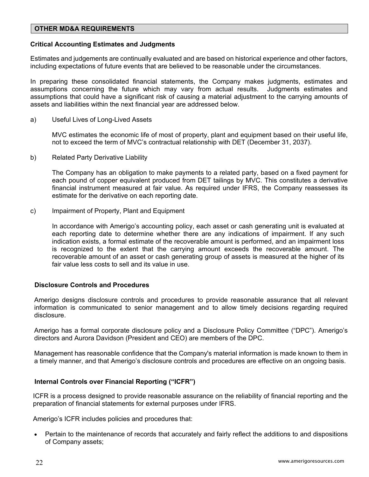### **OTHER MD&A REQUIREMENTS**

#### **Critical Accounting Estimates and Judgments**

Estimates and judgements are continually evaluated and are based on historical experience and other factors, including expectations of future events that are believed to be reasonable under the circumstances.

In preparing these consolidated financial statements, the Company makes judgments, estimates and assumptions concerning the future which may vary from actual results. Judgments estimates and assumptions that could have a significant risk of causing a material adjustment to the carrying amounts of assets and liabilities within the next financial year are addressed below.

a) Useful Lives of Long-Lived Assets

MVC estimates the economic life of most of property, plant and equipment based on their useful life, not to exceed the term of MVC's contractual relationship with DET (December 31, 2037).

b) Related Party Derivative Liability

The Company has an obligation to make payments to a related party, based on a fixed payment for each pound of copper equivalent produced from DET tailings by MVC. This constitutes a derivative financial instrument measured at fair value. As required under IFRS, the Company reassesses its estimate for the derivative on each reporting date.

c) Impairment of Property, Plant and Equipment

 In accordance with Amerigo's accounting policy, each asset or cash generating unit is evaluated at each reporting date to determine whether there are any indications of impairment. If any such indication exists, a formal estimate of the recoverable amount is performed, and an impairment loss is recognized to the extent that the carrying amount exceeds the recoverable amount. The recoverable amount of an asset or cash generating group of assets is measured at the higher of its fair value less costs to sell and its value in use.

#### **Disclosure Controls and Procedures**

Amerigo designs disclosure controls and procedures to provide reasonable assurance that all relevant information is communicated to senior management and to allow timely decisions regarding required disclosure.

Amerigo has a formal corporate disclosure policy and a Disclosure Policy Committee ("DPC"). Amerigo's directors and Aurora Davidson (President and CEO) are members of the DPC.

Management has reasonable confidence that the Company's material information is made known to them in a timely manner, and that Amerigo's disclosure controls and procedures are effective on an ongoing basis.

#### **Internal Controls over Financial Reporting ("ICFR")**

ICFR is a process designed to provide reasonable assurance on the reliability of financial reporting and the preparation of financial statements for external purposes under IFRS.

Amerigo's ICFR includes policies and procedures that:

 Pertain to the maintenance of records that accurately and fairly reflect the additions to and dispositions of Company assets;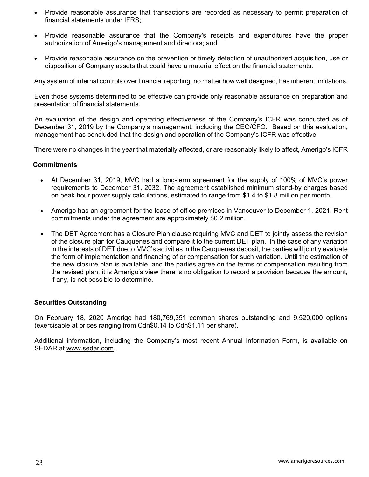- Provide reasonable assurance that transactions are recorded as necessary to permit preparation of financial statements under IFRS;
- Provide reasonable assurance that the Company's receipts and expenditures have the proper authorization of Amerigo's management and directors; and
- Provide reasonable assurance on the prevention or timely detection of unauthorized acquisition, use or disposition of Company assets that could have a material effect on the financial statements.

Any system of internal controls over financial reporting, no matter how well designed, has inherent limitations.

Even those systems determined to be effective can provide only reasonable assurance on preparation and presentation of financial statements.

An evaluation of the design and operating effectiveness of the Company's ICFR was conducted as of December 31, 2019 by the Company's management, including the CEO/CFO. Based on this evaluation, management has concluded that the design and operation of the Company's ICFR was effective.

There were no changes in the year that materially affected, or are reasonably likely to affect, Amerigo's ICFR

#### **Commitments**

- At December 31, 2019, MVC had a long-term agreement for the supply of 100% of MVC's power requirements to December 31, 2032. The agreement established minimum stand-by charges based on peak hour power supply calculations, estimated to range from \$1.4 to \$1.8 million per month.
- Amerigo has an agreement for the lease of office premises in Vancouver to December 1, 2021. Rent commitments under the agreement are approximately \$0.2 million.
- The DET Agreement has a Closure Plan clause requiring MVC and DET to jointly assess the revision of the closure plan for Cauquenes and compare it to the current DET plan. In the case of any variation in the interests of DET due to MVC's activities in the Cauquenes deposit, the parties will jointly evaluate the form of implementation and financing of or compensation for such variation. Until the estimation of the new closure plan is available, and the parties agree on the terms of compensation resulting from the revised plan, it is Amerigo's view there is no obligation to record a provision because the amount, if any, is not possible to determine.

#### **Securities Outstanding**

On February 18, 2020 Amerigo had 180,769,351 common shares outstanding and 9,520,000 options (exercisable at prices ranging from Cdn\$0.14 to Cdn\$1.11 per share).

Additional information, including the Company's most recent Annual Information Form, is available on SEDAR at www.sedar.com.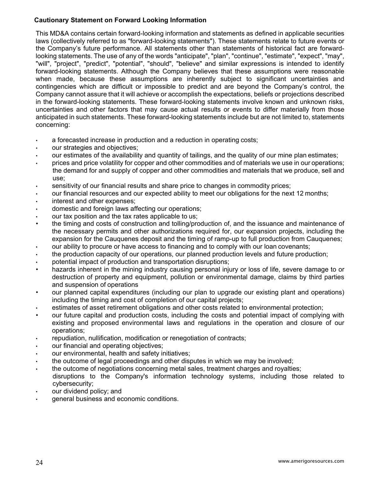# **Cautionary Statement on Forward Looking Information**

This MD&A contains certain forward-looking information and statements as defined in applicable securities laws (collectively referred to as "forward-looking statements"). These statements relate to future events or the Company's future performance. All statements other than statements of historical fact are forwardlooking statements. The use of any of the words "anticipate", "plan", "continue", "estimate", "expect", "may", "will", "project", "predict", "potential", "should", "believe" and similar expressions is intended to identify forward-looking statements. Although the Company believes that these assumptions were reasonable when made, because these assumptions are inherently subject to significant uncertainties and contingencies which are difficult or impossible to predict and are beyond the Company's control, the Company cannot assure that it will achieve or accomplish the expectations, beliefs or projections described in the forward-looking statements. These forward-looking statements involve known and unknown risks, uncertainties and other factors that may cause actual results or events to differ materially from those anticipated in such statements. These forward-looking statements include but are not limited to, statements concerning:

- a forecasted increase in production and a reduction in operating costs;
- our strategies and objectives;
- our estimates of the availability and quantity of tailings, and the quality of our mine plan estimates;
- prices and price volatility for copper and other commodities and of materials we use in our operations; the demand for and supply of copper and other commodities and materials that we produce, sell and use;
- sensitivity of our financial results and share price to changes in commodity prices;
- our financial resources and our expected ability to meet our obligations for the next 12 months;
- interest and other expenses;
- domestic and foreign laws affecting our operations;
- our tax position and the tax rates applicable to us;
- the timing and costs of construction and tolling/production of, and the issuance and maintenance of the necessary permits and other authorizations required for, our expansion projects, including the expansion for the Cauquenes deposit and the timing of ramp-up to full production from Cauquenes;
- our ability to procure or have access to financing and to comply with our loan covenants;
- the production capacity of our operations, our planned production levels and future production;
- potential impact of production and transportation disruptions;
- hazards inherent in the mining industry causing personal injury or loss of life, severe damage to or destruction of property and equipment, pollution or environmental damage, claims by third parties and suspension of operations
- our planned capital expenditures (including our plan to upgrade our existing plant and operations) including the timing and cost of completion of our capital projects;
- estimates of asset retirement obligations and other costs related to environmental protection;
- our future capital and production costs, including the costs and potential impact of complying with existing and proposed environmental laws and regulations in the operation and closure of our operations;
- repudiation, nullification, modification or renegotiation of contracts;
- our financial and operating objectives;
- our environmental, health and safety initiatives;
- the outcome of legal proceedings and other disputes in which we may be involved;
- the outcome of negotiations concerning metal sales, treatment charges and royalties; disruptions to the Company's information technology systems, including those related to
- cybersecurity; our dividend policy; and
- general business and economic conditions.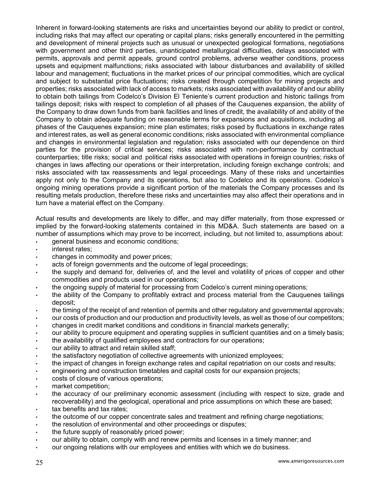Inherent in forward-looking statements are risks and uncertainties beyond our ability to predict or control, including risks that may affect our operating or capital plans; risks generally encountered in the permitting and development of mineral projects such as unusual or unexpected geological formations, negotiations with government and other third parties, unanticipated metallurgical difficulties, delays associated with permits, approvals and permit appeals, ground control problems, adverse weather conditions, process upsets and equipment malfunctions; risks associated with labour disturbances and availability of skilled labour and management; fluctuations in the market prices of our principal commodities, which are cyclical and subject to substantial price fluctuations; risks created through competition for mining projects and properties; risks associated with lack of access to markets; risks associated with availability of and our ability to obtain both tailings from Codelco's Division El Teniente's current production and historic tailings from tailings deposit; risks with respect to completion of all phases of the Cauquenes expansion, the ability of the Company to draw down funds from bank facilities and lines of credit, the availability of and ability of the Company to obtain adequate funding on reasonable terms for expansions and acquisitions, including all phases of the Cauquenes expansion; mine plan estimates; risks posed by fluctuations in exchange rates and interest rates, as well as general economic conditions; risks associated with environmental compliance and changes in environmental legislation and regulation; risks associated with our dependence on third parties for the provision of critical services; risks associated with non-performance by contractual counterparties; title risks; social and political risks associated with operations in foreign countries; risks of changes in laws affecting our operations or their interpretation, including foreign exchange controls; and risks associated with tax reassessments and legal proceedings. Many of these risks and uncertainties apply not only to the Company and its operations, but also to Codelco and its operations. Codelco's ongoing mining operations provide a significant portion of the materials the Company processes and its resulting metals production, therefore these risks and uncertainties may also affect their operations and in turn have a material effect on the Company.

Actual results and developments are likely to differ, and may differ materially, from those expressed or implied by the forward-looking statements contained in this MD&A. Such statements are based on a number of assumptions which may prove to be incorrect, including, but not limited to, assumptions about:

- general business and economic conditions;
- interest rates;
- changes in commodity and power prices;
- acts of foreign governments and the outcome of legal proceedings;
- the supply and demand for, deliveries of, and the level and volatility of prices of copper and other commodities and products used in our operations;
- the ongoing supply of material for processing from Codelco's current mining operations;
- the ability of the Company to profitably extract and process material from the Cauquenes tailings deposit;
- the timing of the receipt of and retention of permits and other regulatory and governmental approvals;
- our costs of production and our production and productivity levels, as well as those of our competitors;
- changes in credit market conditions and conditions in financial markets generally;
- our ability to procure equipment and operating supplies in sufficient quantities and on a timely basis;
- the availability of qualified employees and contractors for our operations;
- our ability to attract and retain skilled staff;
- the satisfactory negotiation of collective agreements with unionized employees;
- the impact of changes in foreign exchange rates and capital repatriation on our costs and results;
- engineering and construction timetables and capital costs for our expansion projects;
- costs of closure of various operations;
- market competition:
- the accuracy of our preliminary economic assessment (including with respect to size, grade and recoverability) and the geological, operational and price assumptions on which these are based;
- tax benefits and tax rates;
- the outcome of our copper concentrate sales and treatment and refining charge negotiations;
- the resolution of environmental and other proceedings or disputes;
- the future supply of reasonably priced power;
- our ability to obtain, comply with and renew permits and licenses in a timely manner; and
- our ongoing relations with our employees and entities with which we do business.